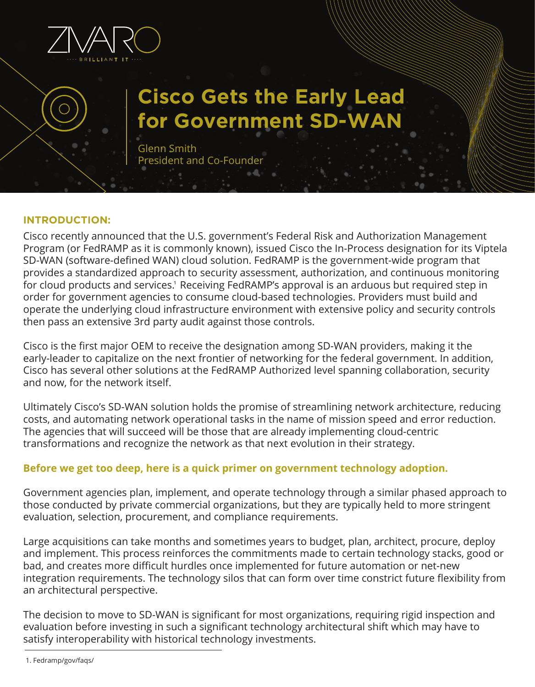

# **Cisco Gets the Early Lead for Government SD-WAN**

Glenn Smith President and Co-Founder

## **INTRODUCTION:**

Cisco recently announced that the U.S. government's Federal Risk and Authorization Management Program (or FedRAMP as it is commonly known), issued Cisco the In-Process designation for its Viptela SD-WAN (software-defined WAN) cloud solution. FedRAMP is the government-wide program that provides a standardized approach to security assessment, authorization, and continuous monitoring for cloud products and services.<sup>1</sup> Receiving FedRAMP's approval is an arduous but required step in order for government agencies to consume cloud-based technologies. Providers must build and operate the underlying cloud infrastructure environment with extensive policy and security controls then pass an extensive 3rd party audit against those controls.

Cisco is the first major OEM to receive the designation among SD-WAN providers, making it the early-leader to capitalize on the next frontier of networking for the federal government. In addition, Cisco has several other solutions at the FedRAMP Authorized level spanning collaboration, security and now, for the network itself.

Ultimately Cisco's SD-WAN solution holds the promise of streamlining network architecture, reducing costs, and automating network operational tasks in the name of mission speed and error reduction. The agencies that will succeed will be those that are already implementing cloud-centric transformations and recognize the network as that next evolution in their strategy.

## **Before we get too deep, here is a quick primer on government technology adoption.**

Government agencies plan, implement, and operate technology through a similar phased approach to those conducted by private commercial organizations, but they are typically held to more stringent evaluation, selection, procurement, and compliance requirements.

Large acquisitions can take months and sometimes years to budget, plan, architect, procure, deploy and implement. This process reinforces the commitments made to certain technology stacks, good or bad, and creates more difficult hurdles once implemented for future automation or net-new integration requirements. The technology silos that can form over time constrict future flexibility from an architectural perspective.

The decision to move to SD-WAN is significant for most organizations, requiring rigid inspection and evaluation before investing in such a significant technology architectural shift which may have to satisfy interoperability with historical technology investments.

1. Fedramp/gov/faqs/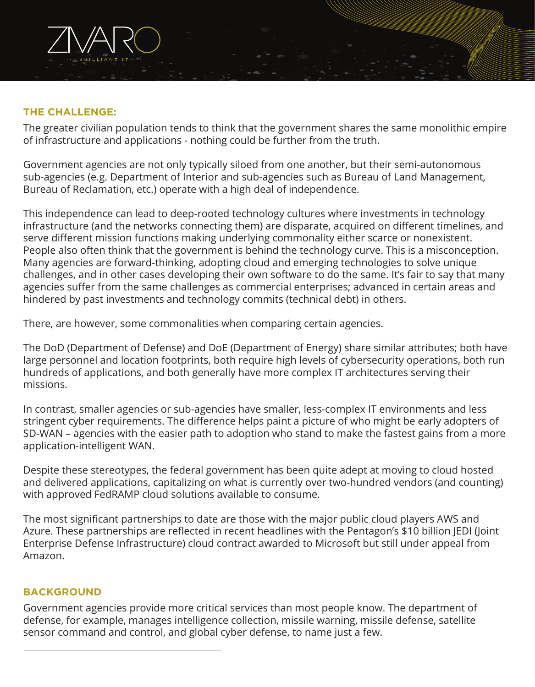## **THE CHALLENGE:**

The greater civilian population tends to think that the government shares the same monolithic empire of infrastructure and applications - nothing could be further from the truth.

Government agencies are not only typically siloed from one another, but their semi-autonomous sub-agencies (e.g. Department of Interior and sub-agencies such as Bureau of Land Management, Bureau of Reclamation, etc.) operate with a high deal of independence.

This independence can lead to deep-rooted technology cultures where investments in technology infrastructure (and the networks connecting them) are disparate, acquired on different timelines, and serve different mission functions making underlying commonality either scarce or nonexistent. People also often think that the government is behind the technology curve. This is a misconception. Many agencies are forward-thinking, adopting cloud and emerging technologies to solve unique challenges, and in other cases developing their own software to do the same. It's fair to say that many agencies suffer from the same challenges as commercial enterprises; advanced in certain areas and hindered by past investments and technology commits (technical debt) in others.

There, are however, some commonalities when comparing certain agencies.

The DoD (Department of Defense) and DoE (Department of Energy) share similar attributes; both have large personnel and location footprints, both require high levels of cybersecurity operations, both run hundreds of applications, and both generally have more complex IT architectures serving their missions.

In contrast, smaller agencies or sub-agencies have smaller, less-complex IT environments and less stringent cyber requirements. The difference helps paint a picture of who might be early adopters of SD-WAN – agencies with the easier path to adoption who stand to make the fastest gains from a more application-intelligent WAN.

Despite these stereotypes, the federal government has been quite adept at moving to cloud hosted and delivered applications, capitalizing on what is currently over two-hundred vendors (and counting) with approved FedRAMP cloud solutions available to consume.

The most significant partnerships to date are those with the major public cloud players AWS and Azure. These partnerships are reflected in recent headlines with the Pentagon's \$10 billion JEDI (Joint Enterprise Defense Infrastructure) cloud contract awarded to Microsoft but still under appeal from Amazon.

#### **BACKGROUND**

Government agencies provide more critical services than most people know. The department of defense, for example, manages intelligence collection, missile warning, missile defense, satellite sensor command and control, and global cyber defense, to name just a few.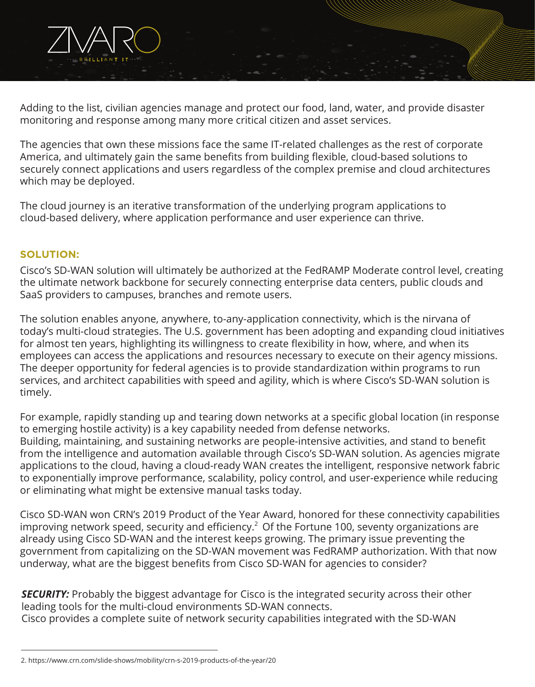Adding to the list, civilian agencies manage and protect our food, land, water, and provide disaster monitoring and response among many more critical citizen and asset services.

The agencies that own these missions face the same IT-related challenges as the rest of corporate America, and ultimately gain the same benefits from building flexible, cloud-based solutions to securely connect applications and users regardless of the complex premise and cloud architectures which may be deployed.

The cloud journey is an iterative transformation of the underlying program applications to cloud-based delivery, where application performance and user experience can thrive.

## **SOLUTION:**

Cisco's SD-WAN solution will ultimately be authorized at the FedRAMP Moderate control level, creating the ultimate network backbone for securely connecting enterprise data centers, public clouds and SaaS providers to campuses, branches and remote users.

The solution enables anyone, anywhere, to-any-application connectivity, which is the nirvana of today's multi-cloud strategies. The U.S. government has been adopting and expanding cloud initiatives for almost ten years, highlighting its willingness to create flexibility in how, where, and when its employees can access the applications and resources necessary to execute on their agency missions. The deeper opportunity for federal agencies is to provide standardization within programs to run services, and architect capabilities with speed and agility, which is where Cisco's SD-WAN solution is timely.

For example, rapidly standing up and tearing down networks at a specific global location (in response to emerging hostile activity) is a key capability needed from defense networks. Building, maintaining, and sustaining networks are people-intensive activities, and stand to benefit from the intelligence and automation available through Cisco's SD-WAN solution. As agencies migrate applications to the cloud, having a cloud-ready WAN creates the intelligent, responsive network fabric to exponentially improve performance, scalability, policy control, and user-experience while reducing or eliminating what might be extensive manual tasks today.

Cisco SD-WAN won CRN's 2019 Product of the Year Award, honored for these connectivity capabilities improving network speed, security and efficiency. $2$  Of the Fortune 100, seventy organizations are already using Cisco SD-WAN and the interest keeps growing. The primary issue preventing the government from capitalizing on the SD-WAN movement was FedRAMP authorization. With that now underway, what are the biggest benefits from Cisco SD-WAN for agencies to consider?

**SECURITY:** Probably the biggest advantage for Cisco is the integrated security across their other leading tools for the multi-cloud environments SD-WAN connects. Cisco provides a complete suite of network security capabilities integrated with the SD-WAN

<sup>2.</sup> https://www.crn.com/slide-shows/mobility/crn-s-2019-products-of-the-year/20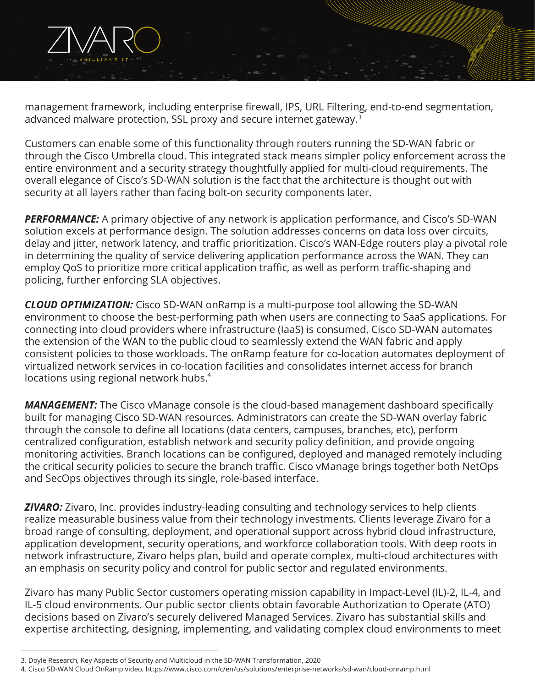

Customers can enable some of this functionality through routers running the SD-WAN fabric or through the Cisco Umbrella cloud. This integrated stack means simpler policy enforcement across the entire environment and a security strategy thoughtfully applied for multi-cloud requirements. The overall elegance of Cisco's SD-WAN solution is the fact that the architecture is thought out with security at all layers rather than facing bolt-on security components later.

**PERFORMANCE:** A primary objective of any network is application performance, and Cisco's SD-WAN solution excels at performance design. The solution addresses concerns on data loss over circuits, delay and jitter, network latency, and traffic prioritization. Cisco's WAN-Edge routers play a pivotal role in determining the quality of service delivering application performance across the WAN. They can employ QoS to prioritize more critical application traffic, as well as perform traffic-shaping and policing, further enforcing SLA objectives.

*CLOUD OPTIMIZATION:* Cisco SD-WAN onRamp is a multi-purpose tool allowing the SD-WAN environment to choose the best-performing path when users are connecting to SaaS applications. For connecting into cloud providers where infrastructure (IaaS) is consumed, Cisco SD-WAN automates the extension of the WAN to the public cloud to seamlessly extend the WAN fabric and apply consistent policies to those workloads. The onRamp feature for co-location automates deployment of virtualized network services in co-location facilities and consolidates internet access for branch locations using regional network hubs. 4

*MANAGEMENT:* The Cisco vManage console is the cloud-based management dashboard specifically built for managing Cisco SD-WAN resources. Administrators can create the SD-WAN overlay fabric through the console to define all locations (data centers, campuses, branches, etc), perform centralized configuration, establish network and security policy definition, and provide ongoing monitoring activities. Branch locations can be configured, deployed and managed remotely including the critical security policies to secure the branch traffic. Cisco vManage brings together both NetOps and SecOps objectives through its single, role-based interface.

*ZIVARO:* Zivaro, Inc. provides industry-leading consulting and technology services to help clients realize measurable business value from their technology investments. Clients leverage Zivaro for a broad range of consulting, deployment, and operational support across hybrid cloud infrastructure, application development, security operations, and workforce collaboration tools. With deep roots in network infrastructure, Zivaro helps plan, build and operate complex, multi-cloud architectures with an emphasis on security policy and control for public sector and regulated environments.

Zivaro has many Public Sector customers operating mission capability in Impact-Level (IL)-2, IL-4, and IL-5 cloud environments. Our public sector clients obtain favorable Authorization to Operate (ATO) decisions based on Zivaro's securely delivered Managed Services. Zivaro has substantial skills and expertise architecting, designing, implementing, and validating complex cloud environments to meet

<sup>3.</sup> Doyle Research, Key Aspects of Security and Multicloud in the SD-WAN Transformation, 2020

<sup>4.</sup> Cisco SD-WAN Cloud OnRamp video, https://www.cisco.com/c/en/us/solutions/enterprise-networks/sd-wan/cloud-onramp.html